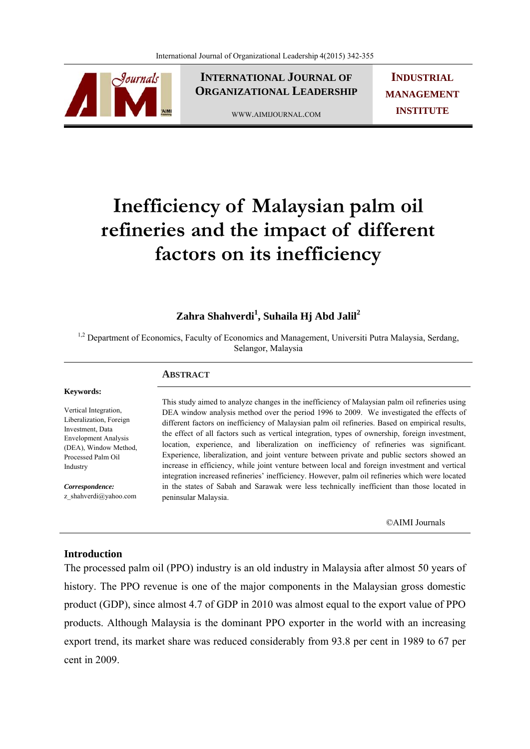

**INTERNATIONAL JOURNAL OF ORGANIZATIONAL LEADERSHIP**

WWW.AIMIJOURNAL.COM

**INDUSTRIAL MANAGEMENT INSTITUTE**

# **Inefficiency of Malaysian palm oil refineries and the impact of different factors on its inefficiency**

# **Zahra Shahverdi<sup>1</sup> , Suhaila Hj Abd Jalil2**

<sup>1,2</sup> Department of Economics, Faculty of Economics and Management, Universiti Putra Malaysia, Serdang, Selangor, Malaysia

# **ABSTRACT**

#### **Keywords:**

Vertical Integration, Liberalization, Foreign Investment, Data Envelopment Analysis (DEA), Window Method, Processed Palm Oil Industry

*Correspondence:*  z\_shahverdi@yahoo.com

This study aimed to analyze changes in the inefficiency of Malaysian palm oil refineries using DEA window analysis method over the period 1996 to 2009. We investigated the effects of different factors on inefficiency of Malaysian palm oil refineries. Based on empirical results, the effect of all factors such as vertical integration, types of ownership, foreign investment, location, experience, and liberalization on inefficiency of refineries was significant. Experience, liberalization, and joint venture between private and public sectors showed an increase in efficiency, while joint venture between local and foreign investment and vertical integration increased refineries' inefficiency. However, palm oil refineries which were located in the states of Sabah and Sarawak were less technically inefficient than those located in peninsular Malaysia.

©AIMI Journals

# **Introduction**

The processed palm oil (PPO) industry is an old industry in Malaysia after almost 50 years of history. The PPO revenue is one of the major components in the Malaysian gross domestic product (GDP), since almost 4.7 of GDP in 2010 was almost equal to the export value of PPO products. Although Malaysia is the dominant PPO exporter in the world with an increasing export trend, its market share was reduced considerably from 93.8 per cent in 1989 to 67 per cent in 2009.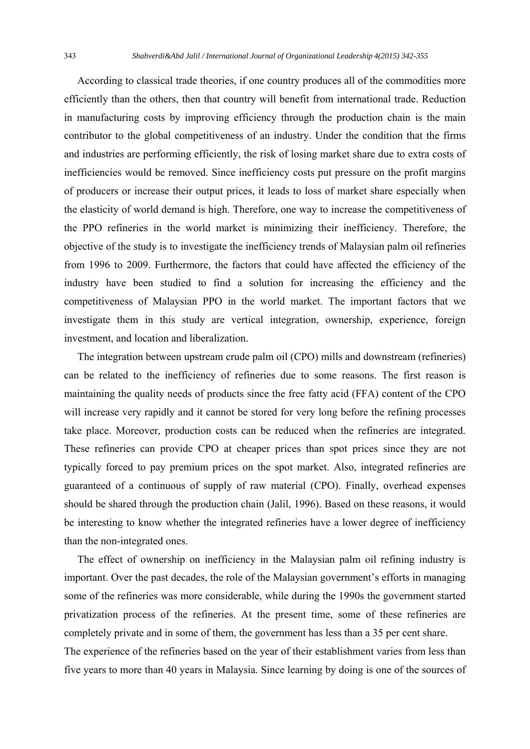According to classical trade theories, if one country produces all of the commodities more efficiently than the others, then that country will benefit from international trade. Reduction in manufacturing costs by improving efficiency through the production chain is the main contributor to the global competitiveness of an industry. Under the condition that the firms and industries are performing efficiently, the risk of losing market share due to extra costs of inefficiencies would be removed. Since inefficiency costs put pressure on the profit margins of producers or increase their output prices, it leads to loss of market share especially when the elasticity of world demand is high. Therefore, one way to increase the competitiveness of the PPO refineries in the world market is minimizing their inefficiency. Therefore, the objective of the study is to investigate the inefficiency trends of Malaysian palm oil refineries from 1996 to 2009. Furthermore, the factors that could have affected the efficiency of the industry have been studied to find a solution for increasing the efficiency and the competitiveness of Malaysian PPO in the world market. The important factors that we investigate them in this study are vertical integration, ownership, experience, foreign investment, and location and liberalization.

 The integration between upstream crude palm oil (CPO) mills and downstream (refineries) can be related to the inefficiency of refineries due to some reasons. The first reason is maintaining the quality needs of products since the free fatty acid (FFA) content of the CPO will increase very rapidly and it cannot be stored for very long before the refining processes take place. Moreover, production costs can be reduced when the refineries are integrated. These refineries can provide CPO at cheaper prices than spot prices since they are not typically forced to pay premium prices on the spot market. Also, integrated refineries are guaranteed of a continuous of supply of raw material (CPO). Finally, overhead expenses should be shared through the production chain (Jalil, 1996). Based on these reasons, it would be interesting to know whether the integrated refineries have a lower degree of inefficiency than the non-integrated ones.

 The effect of ownership on inefficiency in the Malaysian palm oil refining industry is important. Over the past decades, the role of the Malaysian government's efforts in managing some of the refineries was more considerable, while during the 1990s the government started privatization process of the refineries. At the present time, some of these refineries are completely private and in some of them, the government has less than a 35 per cent share. The experience of the refineries based on the year of their establishment varies from less than five years to more than 40 years in Malaysia. Since learning by doing is one of the sources of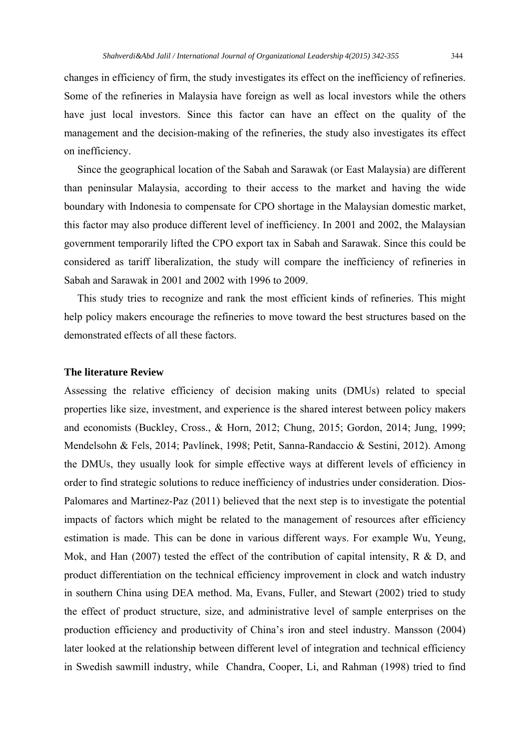changes in efficiency of firm, the study investigates its effect on the inefficiency of refineries. Some of the refineries in Malaysia have foreign as well as local investors while the others have just local investors. Since this factor can have an effect on the quality of the management and the decision-making of the refineries, the study also investigates its effect on inefficiency.

 Since the geographical location of the Sabah and Sarawak (or East Malaysia) are different than peninsular Malaysia, according to their access to the market and having the wide boundary with Indonesia to compensate for CPO shortage in the Malaysian domestic market, this factor may also produce different level of inefficiency. In 2001 and 2002, the Malaysian government temporarily lifted the CPO export tax in Sabah and Sarawak. Since this could be considered as tariff liberalization, the study will compare the inefficiency of refineries in Sabah and Sarawak in 2001 and 2002 with 1996 to 2009.

 This study tries to recognize and rank the most efficient kinds of refineries. This might help policy makers encourage the refineries to move toward the best structures based on the demonstrated effects of all these factors.

#### **The literature Review**

Assessing the relative efficiency of decision making units (DMUs) related to special properties like size, investment, and experience is the shared interest between policy makers and economists (Buckley, Cross., & Horn, 2012; Chung, 2015; Gordon, 2014; Jung, 1999; Mendelsohn & Fels, 2014; Pavlínek, 1998; Petit, Sanna-Randaccio & Sestini, 2012). Among the DMUs, they usually look for simple effective ways at different levels of efficiency in order to find strategic solutions to reduce inefficiency of industries under consideration. Dios-Palomares and Martinez-Paz (2011) believed that the next step is to investigate the potential impacts of factors which might be related to the management of resources after efficiency estimation is made. This can be done in various different ways. For example Wu, Yeung, Mok, and Han (2007) tested the effect of the contribution of capital intensity, R & D, and product differentiation on the technical efficiency improvement in clock and watch industry in southern China using DEA method. Ma, Evans, Fuller, and Stewart (2002) tried to study the effect of product structure, size, and administrative level of sample enterprises on the production efficiency and productivity of China's iron and steel industry. Mansson (2004) later looked at the relationship between different level of integration and technical efficiency in Swedish sawmill industry, while Chandra, Cooper, Li, and Rahman (1998) tried to find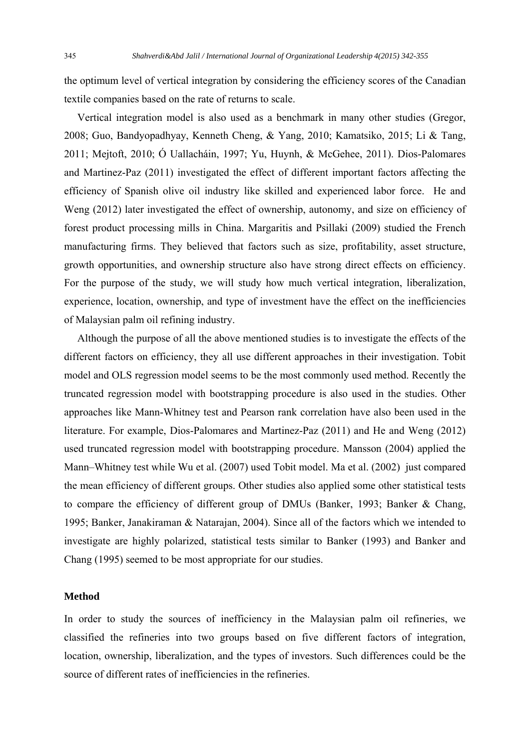the optimum level of vertical integration by considering the efficiency scores of the Canadian textile companies based on the rate of returns to scale.

 Vertical integration model is also used as a benchmark in many other studies (Gregor, 2008; Guo, Bandyopadhyay, Kenneth Cheng, & Yang, 2010; Kamatsiko, 2015; Li & Tang, 2011; Mejtoft, 2010; Ó Uallacháin, 1997; Yu, Huynh, & McGehee, 2011). Dios-Palomares and Martinez-Paz (2011) investigated the effect of different important factors affecting the efficiency of Spanish olive oil industry like skilled and experienced labor force. He and Weng (2012) later investigated the effect of ownership, autonomy, and size on efficiency of forest product processing mills in China. Margaritis and Psillaki (2009) studied the French manufacturing firms. They believed that factors such as size, profitability, asset structure, growth opportunities, and ownership structure also have strong direct effects on efficiency. For the purpose of the study, we will study how much vertical integration, liberalization, experience, location, ownership, and type of investment have the effect on the inefficiencies of Malaysian palm oil refining industry.

 Although the purpose of all the above mentioned studies is to investigate the effects of the different factors on efficiency, they all use different approaches in their investigation. Tobit model and OLS regression model seems to be the most commonly used method. Recently the truncated regression model with bootstrapping procedure is also used in the studies. Other approaches like Mann-Whitney test and Pearson rank correlation have also been used in the literature. For example, Dios-Palomares and Martinez-Paz (2011) and He and Weng (2012) used truncated regression model with bootstrapping procedure. Mansson (2004) applied the Mann–Whitney test while Wu et al. (2007) used Tobit model. Ma et al. (2002) just compared the mean efficiency of different groups. Other studies also applied some other statistical tests to compare the efficiency of different group of DMUs (Banker, 1993; Banker & Chang, 1995; Banker, Janakiraman & Natarajan, 2004). Since all of the factors which we intended to investigate are highly polarized, statistical tests similar to Banker (1993) and Banker and Chang (1995) seemed to be most appropriate for our studies.

## **Method**

In order to study the sources of inefficiency in the Malaysian palm oil refineries, we classified the refineries into two groups based on five different factors of integration, location, ownership, liberalization, and the types of investors. Such differences could be the source of different rates of inefficiencies in the refineries.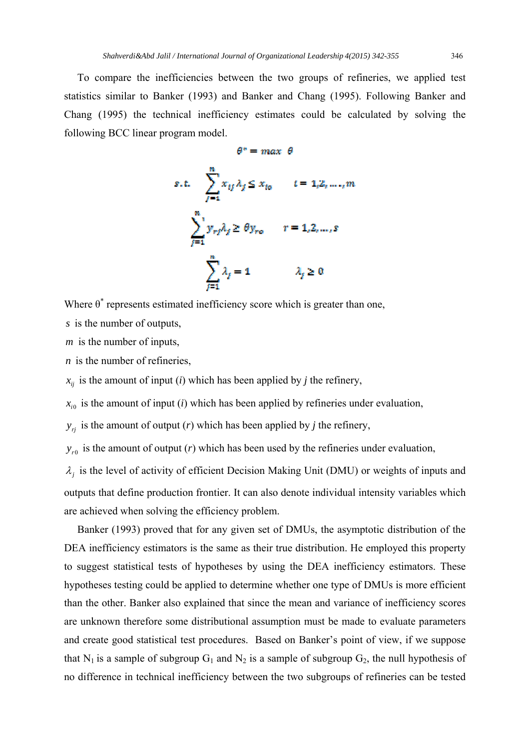To compare the inefficiencies between the two groups of refineries, we applied test statistics similar to Banker (1993) and Banker and Chang (1995). Following Banker and Chang (1995) the technical inefficiency estimates could be calculated by solving the following BCC linear program model.

 $68 - 128$ 

$$
s.t. \sum_{j=1}^{n} x_{ij} \lambda_j \le x_{to} \qquad t = 1, 2, ..., m
$$

$$
\sum_{j=1}^{n} y_{rf} \lambda_j \ge \theta y_{ro} \qquad r = 1, 2, ..., s
$$

$$
\sum_{j=1}^{n} \lambda_j = 1 \qquad \lambda_j \ge 0
$$

Where  $\theta^*$  represents estimated inefficiency score which is greater than one,

*s* is the number of outputs,

*m* is the number of inputs,

*n* is the number of refineries,

 $x_{ij}$  is the amount of input (*i*) which has been applied by *j* the refinery,

 $x_{i0}$  is the amount of input (*i*) which has been applied by refineries under evaluation,

 $y_{ri}$  is the amount of output (*r*) which has been applied by *j* the refinery,

 $y_{r0}$  is the amount of output (*r*) which has been used by the refineries under evaluation,

 $\lambda_j$  is the level of activity of efficient Decision Making Unit (DMU) or weights of inputs and outputs that define production frontier. It can also denote individual intensity variables which are achieved when solving the efficiency problem.

 Banker (1993) proved that for any given set of DMUs, the asymptotic distribution of the DEA inefficiency estimators is the same as their true distribution. He employed this property to suggest statistical tests of hypotheses by using the DEA inefficiency estimators. These hypotheses testing could be applied to determine whether one type of DMUs is more efficient than the other. Banker also explained that since the mean and variance of inefficiency scores are unknown therefore some distributional assumption must be made to evaluate parameters and create good statistical test procedures. Based on Banker's point of view, if we suppose that N<sub>1</sub> is a sample of subgroup  $G_1$  and N<sub>2</sub> is a sample of subgroup  $G_2$ , the null hypothesis of no difference in technical inefficiency between the two subgroups of refineries can be tested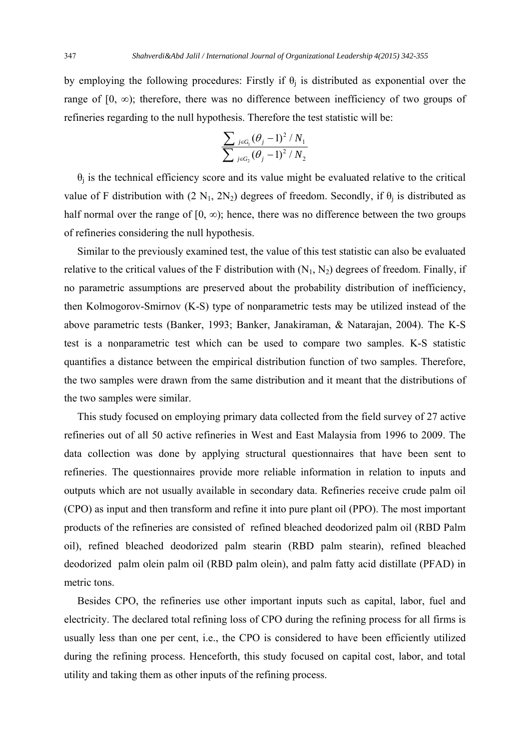by employing the following procedures: Firstly if  $\theta_i$  is distributed as exponential over the range of  $[0, \infty)$ ; therefore, there was no difference between inefficiency of two groups of refineries regarding to the null hypothesis. Therefore the test statistic will be:

$$
\frac{\sum_{j\in G_1}(\theta_j-1)^2/N_1}{\sum_{j\in G_2}(\theta_j-1)^2/N_2}
$$

 $\theta_i$  is the technical efficiency score and its value might be evaluated relative to the critical value of F distribution with  $(2 \text{ N}_1, 2 \text{ N}_2)$  degrees of freedom. Secondly, if  $\theta_i$  is distributed as half normal over the range of  $[0, \infty)$ ; hence, there was no difference between the two groups of refineries considering the null hypothesis.

 Similar to the previously examined test, the value of this test statistic can also be evaluated relative to the critical values of the F distribution with  $(N_1, N_2)$  degrees of freedom. Finally, if no parametric assumptions are preserved about the probability distribution of inefficiency, then Kolmogorov-Smirnov (K-S) type of nonparametric tests may be utilized instead of the above parametric tests (Banker, 1993; Banker, Janakiraman, & Natarajan, 2004). The K-S test is a nonparametric test which can be used to compare two samples. K-S statistic quantifies a distance between the empirical distribution function of two samples. Therefore, the two samples were drawn from the same distribution and it meant that the distributions of the two samples were similar.

 This study focused on employing primary data collected from the field survey of 27 active refineries out of all 50 active refineries in West and East Malaysia from 1996 to 2009. The data collection was done by applying structural questionnaires that have been sent to refineries. The questionnaires provide more reliable information in relation to inputs and outputs which are not usually available in secondary data. Refineries receive crude palm oil (CPO) as input and then transform and refine it into pure plant oil (PPO). The most important products of the refineries are consisted of refined bleached deodorized palm oil (RBD Palm oil), refined bleached deodorized palm stearin (RBD palm stearin), refined bleached deodorized palm olein palm oil (RBD palm olein), and palm fatty acid distillate (PFAD) in metric tons.

 Besides CPO, the refineries use other important inputs such as capital, labor, fuel and electricity. The declared total refining loss of CPO during the refining process for all firms is usually less than one per cent, i.e., the CPO is considered to have been efficiently utilized during the refining process. Henceforth, this study focused on capital cost, labor, and total utility and taking them as other inputs of the refining process.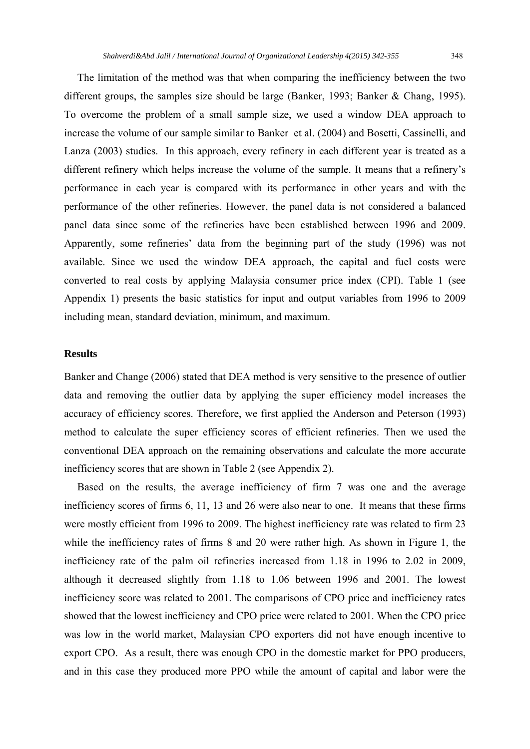The limitation of the method was that when comparing the inefficiency between the two different groups, the samples size should be large (Banker, 1993; Banker & Chang, 1995). To overcome the problem of a small sample size, we used a window DEA approach to increase the volume of our sample similar to Banker et al. (2004) and Bosetti, Cassinelli, and Lanza (2003) studies. In this approach, every refinery in each different year is treated as a different refinery which helps increase the volume of the sample. It means that a refinery's performance in each year is compared with its performance in other years and with the performance of the other refineries. However, the panel data is not considered a balanced panel data since some of the refineries have been established between 1996 and 2009. Apparently, some refineries' data from the beginning part of the study (1996) was not available. Since we used the window DEA approach, the capital and fuel costs were converted to real costs by applying Malaysia consumer price index (CPI). Table 1 (see Appendix 1) presents the basic statistics for input and output variables from 1996 to 2009 including mean, standard deviation, minimum, and maximum.

# **Results**

Banker and Change (2006) stated that DEA method is very sensitive to the presence of outlier data and removing the outlier data by applying the super efficiency model increases the accuracy of efficiency scores. Therefore, we first applied the Anderson and Peterson (1993) method to calculate the super efficiency scores of efficient refineries. Then we used the conventional DEA approach on the remaining observations and calculate the more accurate inefficiency scores that are shown in Table 2 (see Appendix 2).

 Based on the results, the average inefficiency of firm 7 was one and the average inefficiency scores of firms 6, 11, 13 and 26 were also near to one. It means that these firms were mostly efficient from 1996 to 2009. The highest inefficiency rate was related to firm 23 while the inefficiency rates of firms 8 and 20 were rather high. As shown in Figure 1, the inefficiency rate of the palm oil refineries increased from 1.18 in 1996 to 2.02 in 2009, although it decreased slightly from 1.18 to 1.06 between 1996 and 2001. The lowest inefficiency score was related to 2001. The comparisons of CPO price and inefficiency rates showed that the lowest inefficiency and CPO price were related to 2001. When the CPO price was low in the world market, Malaysian CPO exporters did not have enough incentive to export CPO. As a result, there was enough CPO in the domestic market for PPO producers, and in this case they produced more PPO while the amount of capital and labor were the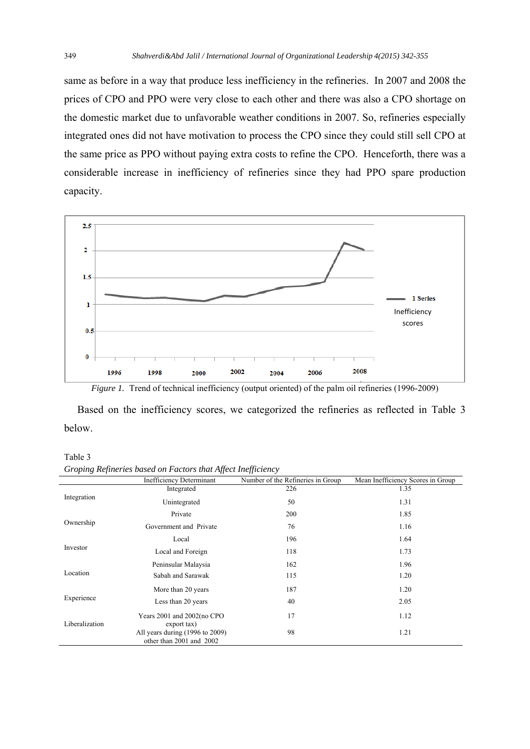same as before in a way that produce less inefficiency in the refineries. In 2007 and 2008 the prices of CPO and PPO were very close to each other and there was also a CPO shortage on the domestic market due to unfavorable weather conditions in 2007. So, refineries especially integrated ones did not have motivation to process the CPO since they could still sell CPO at the same price as PPO without paying extra costs to refine the CPO. Henceforth, there was a considerable increase in inefficiency of refineries since they had PPO spare production capacity.



*Figure 1.* Trend of technical inefficiency (output oriented) of the palm oil refineries (1996-2009)

 Based on the inefficiency scores, we categorized the refineries as reflected in Table 3 below.

Table 3

*Groping Refineries based on Factors that Affect Inefficiency* 

| $\circ$        | JJ.                                                         | JJ                                |                                   |
|----------------|-------------------------------------------------------------|-----------------------------------|-----------------------------------|
|                | <b>Inefficiency Determinant</b>                             | Number of the Refineries in Group | Mean Inefficiency Scores in Group |
| Integration    | Integrated                                                  | 226                               | 1.35                              |
|                | Unintegrated                                                | 50                                | 1.31                              |
| Ownership      | Private                                                     | 200                               | 1.85                              |
|                | Government and Private                                      | 76                                | 1.16                              |
| Investor       | Local                                                       | 196                               | 1.64                              |
|                | Local and Foreign                                           | 118                               | 1.73                              |
| Location       | Peninsular Malaysia                                         | 162                               | 1.96                              |
|                | Sabah and Sarawak                                           | 115                               | 1.20                              |
| Experience     | More than 20 years                                          | 187                               | 1.20                              |
|                | Less than 20 years                                          | 40                                | 2.05                              |
| Liberalization | Years 2001 and 2002(no CPO<br>export tax)                   | 17                                | 1.12                              |
|                | All years during (1996 to 2009)<br>other than 2001 and 2002 | 98                                | 1.21                              |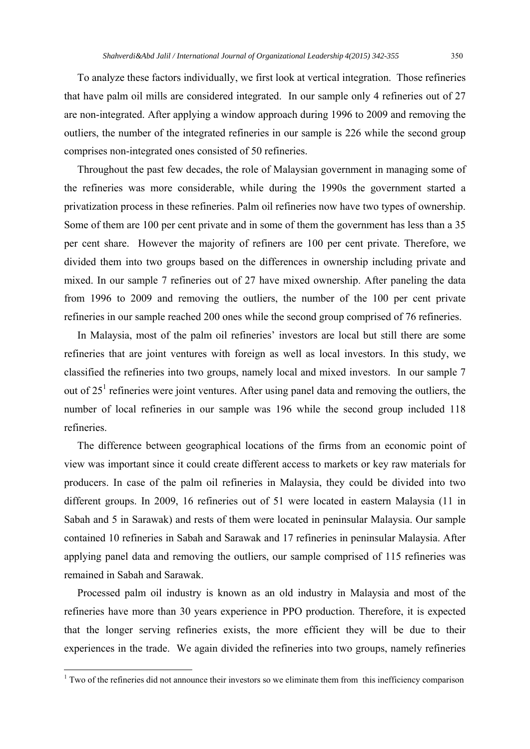To analyze these factors individually, we first look at vertical integration. Those refineries that have palm oil mills are considered integrated. In our sample only 4 refineries out of 27 are non-integrated. After applying a window approach during 1996 to 2009 and removing the outliers, the number of the integrated refineries in our sample is 226 while the second group comprises non-integrated ones consisted of 50 refineries.

 Throughout the past few decades, the role of Malaysian government in managing some of the refineries was more considerable, while during the 1990s the government started a privatization process in these refineries. Palm oil refineries now have two types of ownership. Some of them are 100 per cent private and in some of them the government has less than a 35 per cent share. However the majority of refiners are 100 per cent private. Therefore, we divided them into two groups based on the differences in ownership including private and mixed. In our sample 7 refineries out of 27 have mixed ownership. After paneling the data from 1996 to 2009 and removing the outliers, the number of the 100 per cent private refineries in our sample reached 200 ones while the second group comprised of 76 refineries.

 In Malaysia, most of the palm oil refineries' investors are local but still there are some refineries that are joint ventures with foreign as well as local investors. In this study, we classified the refineries into two groups, namely local and mixed investors. In our sample 7 out of  $25<sup>1</sup>$  refineries were joint ventures. After using panel data and removing the outliers, the number of local refineries in our sample was 196 while the second group included 118 refineries.

 The difference between geographical locations of the firms from an economic point of view was important since it could create different access to markets or key raw materials for producers. In case of the palm oil refineries in Malaysia, they could be divided into two different groups. In 2009, 16 refineries out of 51 were located in eastern Malaysia (11 in Sabah and 5 in Sarawak) and rests of them were located in peninsular Malaysia. Our sample contained 10 refineries in Sabah and Sarawak and 17 refineries in peninsular Malaysia. After applying panel data and removing the outliers, our sample comprised of 115 refineries was remained in Sabah and Sarawak.

 Processed palm oil industry is known as an old industry in Malaysia and most of the refineries have more than 30 years experience in PPO production. Therefore, it is expected that the longer serving refineries exists, the more efficient they will be due to their experiences in the trade. We again divided the refineries into two groups, namely refineries

<sup>&</sup>lt;sup>1</sup> Two of the refineries did not announce their investors so we eliminate them from this inefficiency comparison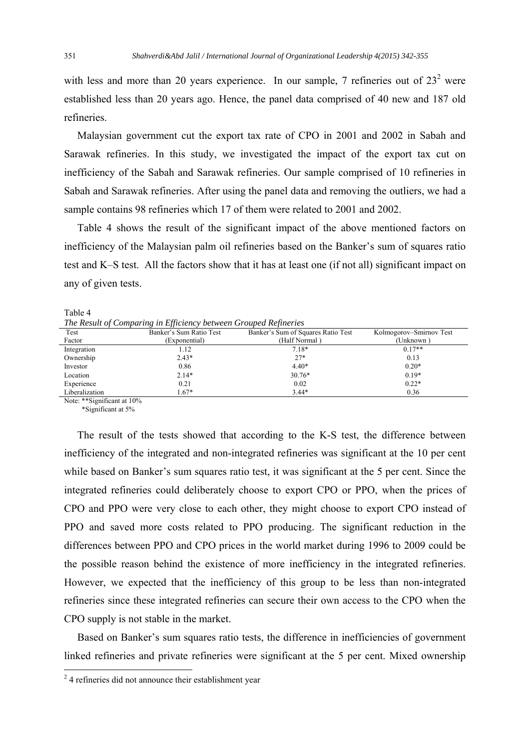with less and more than 20 years experience. In our sample, 7 refineries out of  $23<sup>2</sup>$  were established less than 20 years ago. Hence, the panel data comprised of 40 new and 187 old refineries.

 Malaysian government cut the export tax rate of CPO in 2001 and 2002 in Sabah and Sarawak refineries. In this study, we investigated the impact of the export tax cut on inefficiency of the Sabah and Sarawak refineries. Our sample comprised of 10 refineries in Sabah and Sarawak refineries. After using the panel data and removing the outliers, we had a sample contains 98 refineries which 17 of them were related to 2001 and 2002.

 Table 4 shows the result of the significant impact of the above mentioned factors on inefficiency of the Malaysian palm oil refineries based on the Banker's sum of squares ratio test and K–S test. All the factors show that it has at least one (if not all) significant impact on any of given tests.

Table 4

*The Result of Comparing in Efficiency between Grouped Refineries* 

| $\cdot$ .      |                         |                                    |                         |  |
|----------------|-------------------------|------------------------------------|-------------------------|--|
| Test           | Banker's Sum Ratio Test | Banker's Sum of Squares Ratio Test | Kolmogorov–Smirnov Test |  |
| Factor         | (Exponential)           | (Half Normal)                      | (Unknown )              |  |
| Integration    | 1.12                    | $7.18*$                            | $0.17**$                |  |
| Ownership      | $2.43*$                 | $27*$                              | 0.13                    |  |
| Investor       | 0.86                    | $4.40*$                            | $0.20*$                 |  |
| Location       | $2.14*$                 | $30.76*$                           | $0.19*$                 |  |
| Experience     | 0.21                    | 0.02                               | $0.22*$                 |  |
| Liberalization | $1.67*$                 | $3.44*$                            | 0.36                    |  |
|                |                         |                                    |                         |  |

Note: \*\*Significant at 10%

\*Significant at 5%

 The result of the tests showed that according to the K-S test, the difference between inefficiency of the integrated and non-integrated refineries was significant at the 10 per cent while based on Banker's sum squares ratio test, it was significant at the 5 per cent. Since the integrated refineries could deliberately choose to export CPO or PPO, when the prices of CPO and PPO were very close to each other, they might choose to export CPO instead of PPO and saved more costs related to PPO producing. The significant reduction in the differences between PPO and CPO prices in the world market during 1996 to 2009 could be the possible reason behind the existence of more inefficiency in the integrated refineries. However, we expected that the inefficiency of this group to be less than non-integrated refineries since these integrated refineries can secure their own access to the CPO when the CPO supply is not stable in the market.

 Based on Banker's sum squares ratio tests, the difference in inefficiencies of government linked refineries and private refineries were significant at the 5 per cent. Mixed ownership

<sup>&</sup>lt;sup>2</sup> 4 refineries did not announce their establishment year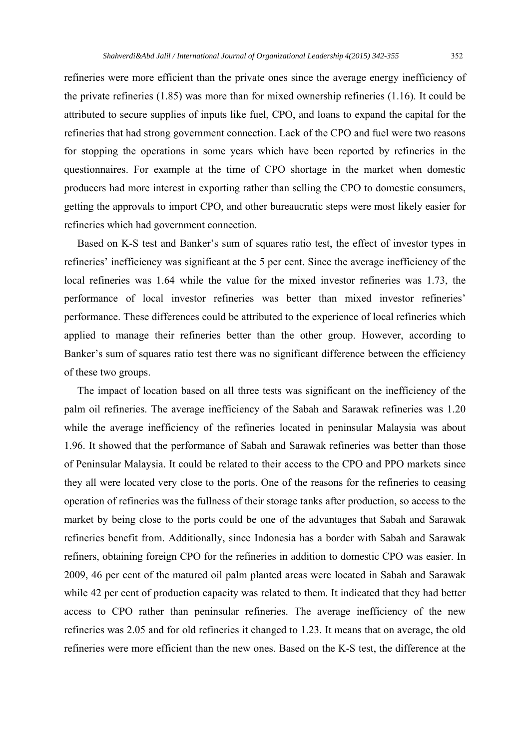refineries were more efficient than the private ones since the average energy inefficiency of the private refineries (1.85) was more than for mixed ownership refineries (1.16). It could be attributed to secure supplies of inputs like fuel, CPO, and loans to expand the capital for the refineries that had strong government connection. Lack of the CPO and fuel were two reasons for stopping the operations in some years which have been reported by refineries in the questionnaires. For example at the time of CPO shortage in the market when domestic producers had more interest in exporting rather than selling the CPO to domestic consumers, getting the approvals to import CPO, and other bureaucratic steps were most likely easier for refineries which had government connection.

 Based on K-S test and Banker's sum of squares ratio test, the effect of investor types in refineries' inefficiency was significant at the 5 per cent. Since the average inefficiency of the local refineries was 1.64 while the value for the mixed investor refineries was 1.73, the performance of local investor refineries was better than mixed investor refineries' performance. These differences could be attributed to the experience of local refineries which applied to manage their refineries better than the other group. However, according to Banker's sum of squares ratio test there was no significant difference between the efficiency of these two groups.

 The impact of location based on all three tests was significant on the inefficiency of the palm oil refineries. The average inefficiency of the Sabah and Sarawak refineries was 1.20 while the average inefficiency of the refineries located in peninsular Malaysia was about 1.96. It showed that the performance of Sabah and Sarawak refineries was better than those of Peninsular Malaysia. It could be related to their access to the CPO and PPO markets since they all were located very close to the ports. One of the reasons for the refineries to ceasing operation of refineries was the fullness of their storage tanks after production, so access to the market by being close to the ports could be one of the advantages that Sabah and Sarawak refineries benefit from. Additionally, since Indonesia has a border with Sabah and Sarawak refiners, obtaining foreign CPO for the refineries in addition to domestic CPO was easier. In 2009, 46 per cent of the matured oil palm planted areas were located in Sabah and Sarawak while 42 per cent of production capacity was related to them. It indicated that they had better access to CPO rather than peninsular refineries. The average inefficiency of the new refineries was 2.05 and for old refineries it changed to 1.23. It means that on average, the old refineries were more efficient than the new ones. Based on the K-S test, the difference at the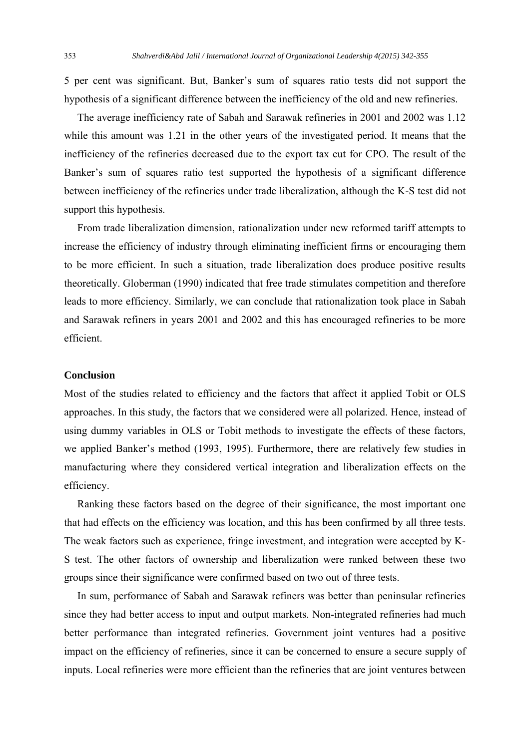5 per cent was significant. But, Banker's sum of squares ratio tests did not support the hypothesis of a significant difference between the inefficiency of the old and new refineries.

 The average inefficiency rate of Sabah and Sarawak refineries in 2001 and 2002 was 1.12 while this amount was 1.21 in the other years of the investigated period. It means that the inefficiency of the refineries decreased due to the export tax cut for CPO. The result of the Banker's sum of squares ratio test supported the hypothesis of a significant difference between inefficiency of the refineries under trade liberalization, although the K-S test did not support this hypothesis.

 From trade liberalization dimension, rationalization under new reformed tariff attempts to increase the efficiency of industry through eliminating inefficient firms or encouraging them to be more efficient. In such a situation, trade liberalization does produce positive results theoretically. Globerman (1990) indicated that free trade stimulates competition and therefore leads to more efficiency. Similarly, we can conclude that rationalization took place in Sabah and Sarawak refiners in years 2001 and 2002 and this has encouraged refineries to be more efficient.

# **Conclusion**

Most of the studies related to efficiency and the factors that affect it applied Tobit or OLS approaches. In this study, the factors that we considered were all polarized. Hence, instead of using dummy variables in OLS or Tobit methods to investigate the effects of these factors, we applied Banker's method (1993, 1995). Furthermore, there are relatively few studies in manufacturing where they considered vertical integration and liberalization effects on the efficiency.

 Ranking these factors based on the degree of their significance, the most important one that had effects on the efficiency was location, and this has been confirmed by all three tests. The weak factors such as experience, fringe investment, and integration were accepted by K-S test. The other factors of ownership and liberalization were ranked between these two groups since their significance were confirmed based on two out of three tests.

 In sum, performance of Sabah and Sarawak refiners was better than peninsular refineries since they had better access to input and output markets. Non-integrated refineries had much better performance than integrated refineries. Government joint ventures had a positive impact on the efficiency of refineries, since it can be concerned to ensure a secure supply of inputs. Local refineries were more efficient than the refineries that are joint ventures between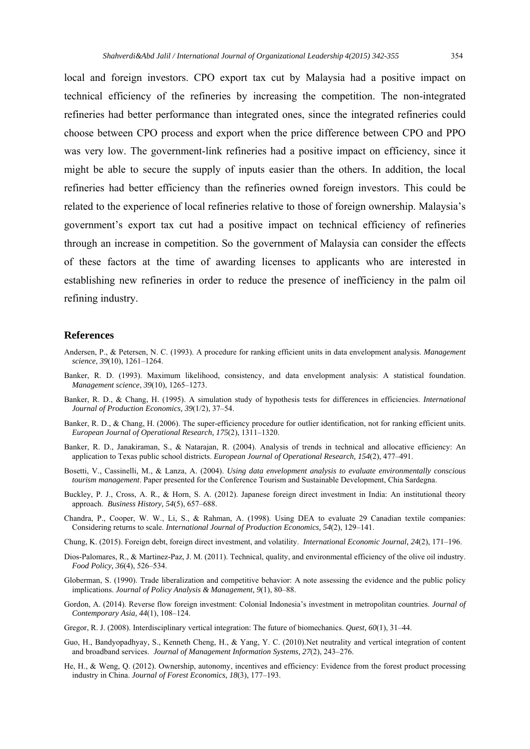local and foreign investors. CPO export tax cut by Malaysia had a positive impact on technical efficiency of the refineries by increasing the competition. The non-integrated refineries had better performance than integrated ones, since the integrated refineries could choose between CPO process and export when the price difference between CPO and PPO was very low. The government-link refineries had a positive impact on efficiency, since it might be able to secure the supply of inputs easier than the others. In addition, the local refineries had better efficiency than the refineries owned foreign investors. This could be related to the experience of local refineries relative to those of foreign ownership. Malaysia's government's export tax cut had a positive impact on technical efficiency of refineries through an increase in competition. So the government of Malaysia can consider the effects of these factors at the time of awarding licenses to applicants who are interested in establishing new refineries in order to reduce the presence of inefficiency in the palm oil refining industry.

### **References**

- Andersen, P., & Petersen, N. C. (1993). A procedure for ranking efficient units in data envelopment analysis. *Management science*, *39*(10), 1261–1264.
- Banker, R. D. (1993). Maximum likelihood, consistency, and data envelopment analysis: A statistical foundation. *Management science*, *39*(10), 1265–1273.
- Banker, R. D., & Chang, H. (1995). A simulation study of hypothesis tests for differences in efficiencies. *International Journal of Production Economics, 39*(1/2), 37–54.
- Banker, R. D., & Chang, H. (2006). The super-efficiency procedure for outlier identification, not for ranking efficient units. *European Journal of Operational Research, 175*(2), 1311–1320.
- Banker, R. D., Janakiraman, S., & Natarajan, R. (2004). Analysis of trends in technical and allocative efficiency: An application to Texas public school districts. *European Journal of Operational Research, 154*(2), 477–491.
- Bosetti, V., Cassinelli, M., & Lanza, A. (2004). *Using data envelopment analysis to evaluate environmentally conscious tourism management*. Paper presented for the Conference Tourism and Sustainable Development, Chia Sardegna.
- Buckley, P. J., Cross, A. R., & Horn, S. A. (2012). Japanese foreign direct investment in India: An institutional theory approach. *Business History, 54*(5), 657–688.
- Chandra, P., Cooper, W. W., Li, S., & Rahman, A. (1998). Using DEA to evaluate 29 Canadian textile companies: Considering returns to scale. *International Journal of Production Economics, 54*(2), 129–141.
- Chung, K. (2015). Foreign debt, foreign direct investment, and volatility. *International Economic Journal, 24*(2), 171–196.
- Dios-Palomares, R., & Martinez-Paz, J. M. (2011). Technical, quality, and environmental efficiency of the olive oil industry. *Food Policy, 36*(4), 526–534.
- Globerman, S. (1990). Trade liberalization and competitive behavior: A note assessing the evidence and the public policy implications. *Journal of Policy Analysis & Management, 9*(1), 80–88.
- Gordon, A. (2014). Reverse flow foreign investment: Colonial Indonesia's investment in metropolitan countries. *Journal of Contemporary Asia, 44*(1), 108–124.
- Gregor, R. J. (2008). Interdisciplinary vertical integration: The future of biomechanics. *Quest, 60*(1), 31–44.
- Guo, H., Bandyopadhyay, S., Kenneth Cheng, H., & Yang, Y. C. (2010).Net neutrality and vertical integration of content and broadband services. *Journal of Management Information Systems, 27*(2), 243–276.
- He, H., & Weng, Q. (2012). Ownership, autonomy, incentives and efficiency: Evidence from the forest product processing industry in China. *Journal of Forest Economics, 18*(3), 177–193.